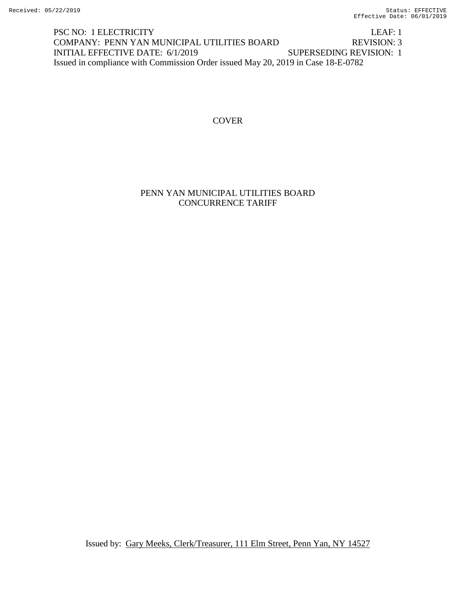PSC NO: 1 ELECTRICITY LEAF: 1 COMPANY: PENN YAN MUNICIPAL UTILITIES BOARD REVISION: 3 INITIAL EFFECTIVE DATE: 6/1/2019 SUPERSEDING REVISION: 1 Issued in compliance with Commission Order issued May 20, 2019 in Case 18-E-0782

**COVER** 

PENN YAN MUNICIPAL UTILITIES BOARD CONCURRENCE TARIFF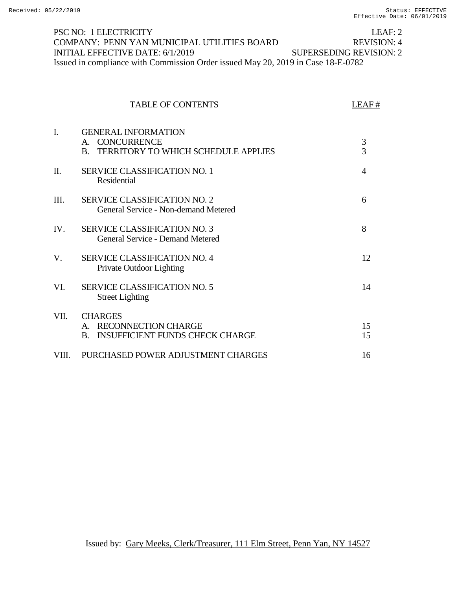## PSC NO: 1 ELECTRICITY LEAF: 2 COMPANY: PENN YAN MUNICIPAL UTILITIES BOARD REVISION: 4 INITIAL EFFECTIVE DATE: 6/1/2019 SUPERSEDING REVISION: 2 Issued in compliance with Commission Order issued May 20, 2019 in Case 18-E-0782

|       | <b>TABLE OF CONTENTS</b>                                                                                           | LEAF#               |
|-------|--------------------------------------------------------------------------------------------------------------------|---------------------|
| Ī.    | <b>GENERAL INFORMATION</b><br><b>CONCURRENCE</b><br>$A_{1}$<br>TERRITORY TO WHICH SCHEDULE APPLIES<br>$\mathbf{B}$ | 3<br>$\overline{3}$ |
| Π.    | <b>SERVICE CLASSIFICATION NO. 1</b><br>Residential                                                                 | $\overline{4}$      |
| HI.   | <b>SERVICE CLASSIFICATION NO. 2</b><br>General Service - Non-demand Metered                                        | 6                   |
| IV.   | <b>SERVICE CLASSIFICATION NO. 3</b><br><b>General Service - Demand Metered</b>                                     | 8                   |
| V.    | <b>SERVICE CLASSIFICATION NO. 4</b><br>Private Outdoor Lighting                                                    | 12                  |
| VI.   | <b>SERVICE CLASSIFICATION NO. 5</b><br><b>Street Lighting</b>                                                      | 14                  |
| VII.  | <b>CHARGES</b><br>A. RECONNECTION CHARGE<br><b>INSUFFICIENT FUNDS CHECK CHARGE</b><br>$\mathbf{B}$ .               | 15<br>15            |
| VIII. | PURCHASED POWER ADJUSTMENT CHARGES                                                                                 | 16                  |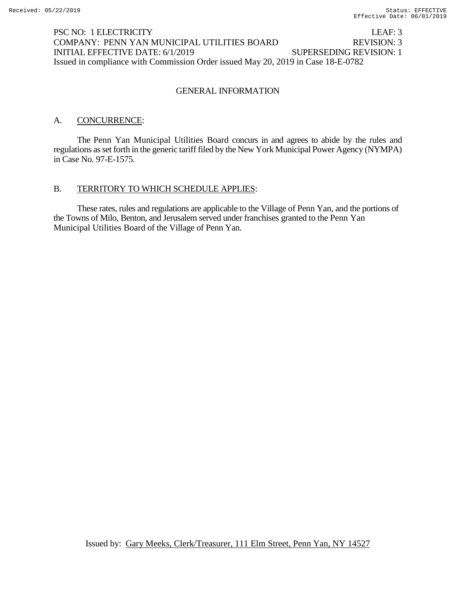## PSC NO: 1 ELECTRICITY LEAF: 3 COMPANY: PENN YAN MUNICIPAL UTILITIES BOARD REVISION: 3 INITIAL EFFECTIVE DATE: 6/1/2019 SUPERSEDING REVISION: 1 Issued in compliance with Commission Order issued May 20, 2019 in Case 18-E-0782

#### GENERAL INFORMATION

#### A. CONCURRENCE:

The Penn Yan Municipal Utilities Board concurs in and agrees to abide by the rules and regulations as set forth in the generic tariff filed by the New York Municipal Power Agency (NYMPA) in Case No. 97-E-1575.

# B. TERRITORY TO WHICH SCHEDULE APPLIES:

These rates, rules and regulations are applicable to the Village of Penn Yan, and the portions of the Towns of Milo, Benton, and Jerusalem served under franchises granted to the Penn Yan Municipal Utilities Board of the Village of Penn Yan.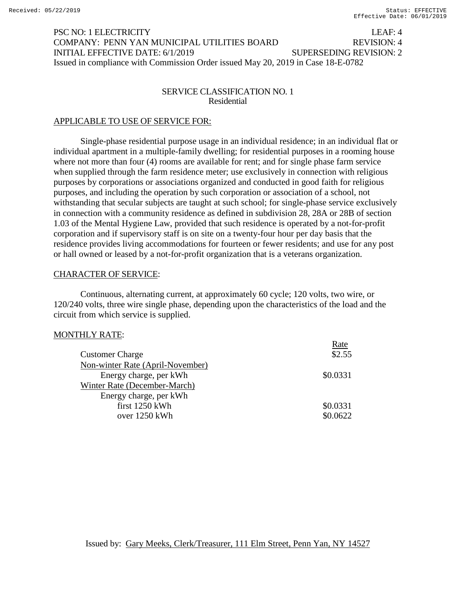# PSC NO: 1 ELECTRICITY LEAF: 4 COMPANY: PENN YAN MUNICIPAL UTILITIES BOARD REVISION: 4 INITIAL EFFECTIVE DATE: 6/1/2019 SUPERSEDING REVISION: 2 Issued in compliance with Commission Order issued May 20, 2019 in Case 18-E-0782

#### SERVICE CLASSIFICATION NO. 1 Residential

## APPLICABLE TO USE OF SERVICE FOR:

Single-phase residential purpose usage in an individual residence; in an individual flat or individual apartment in a multiple-family dwelling; for residential purposes in a rooming house where not more than four (4) rooms are available for rent; and for single phase farm service when supplied through the farm residence meter; use exclusively in connection with religious purposes by corporations or associations organized and conducted in good faith for religious purposes, and including the operation by such corporation or association of a school, not withstanding that secular subjects are taught at such school; for single-phase service exclusively in connection with a community residence as defined in subdivision 28, 28A or 28B of section 1.03 of the Mental Hygiene Law, provided that such residence is operated by a not-for-profit corporation and if supervisory staff is on site on a twenty-four hour per day basis that the residence provides living accommodations for fourteen or fewer residents; and use for any post or hall owned or leased by a not-for-profit organization that is a veterans organization.

### CHARACTER OF SERVICE:

Continuous, alternating current, at approximately 60 cycle; 120 volts, two wire, or 120/240 volts, three wire single phase, depending upon the characteristics of the load and the circuit from which service is supplied.

### MONTHLY RATE:

|                                  | Rate     |
|----------------------------------|----------|
| <b>Customer Charge</b>           | \$2.55   |
| Non-winter Rate (April-November) |          |
| Energy charge, per kWh           | \$0.0331 |
| Winter Rate (December-March)     |          |
| Energy charge, per kWh           |          |
| first 1250 kWh                   | \$0.0331 |
| over 1250 kWh                    | \$0.0622 |
|                                  |          |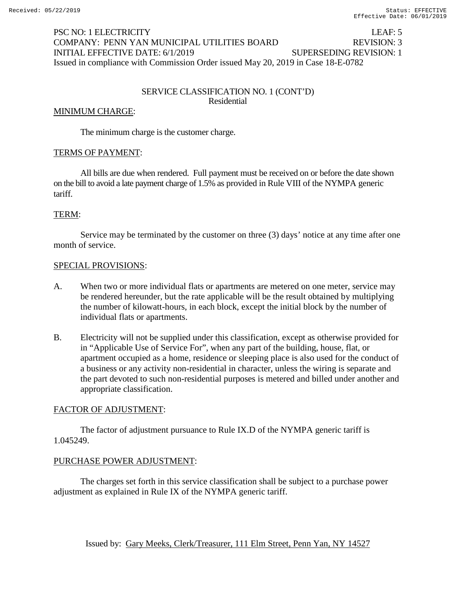# PSC NO: 1 ELECTRICITY LEAF: 5 COMPANY: PENN YAN MUNICIPAL UTILITIES BOARD REVISION: 3 INITIAL EFFECTIVE DATE: 6/1/2019 SUPERSEDING REVISION: 1 Issued in compliance with Commission Order issued May 20, 2019 in Case 18-E-0782

#### SERVICE CLASSIFICATION NO. 1 (CONT'D) Residential

#### MINIMUM CHARGE:

The minimum charge is the customer charge.

# TERMS OF PAYMENT:

All bills are due when rendered. Full payment must be received on or before the date shown on the bill to avoid a late payment charge of 1.5% as provided in Rule VIII of the NYMPA generic tariff.

#### TERM:

Service may be terminated by the customer on three (3) days' notice at any time after one month of service.

#### SPECIAL PROVISIONS:

- A. When two or more individual flats or apartments are metered on one meter, service may be rendered hereunder, but the rate applicable will be the result obtained by multiplying the number of kilowatt-hours, in each block, except the initial block by the number of individual flats or apartments.
- B. Electricity will not be supplied under this classification, except as otherwise provided for in "Applicable Use of Service For", when any part of the building, house, flat, or apartment occupied as a home, residence or sleeping place is also used for the conduct of a business or any activity non-residential in character, unless the wiring is separate and the part devoted to such non-residential purposes is metered and billed under another and appropriate classification.

### FACTOR OF ADJUSTMENT:

The factor of adjustment pursuance to Rule IX.D of the NYMPA generic tariff is 1.045249.

### PURCHASE POWER ADJUSTMENT:

The charges set forth in this service classification shall be subject to a purchase power adjustment as explained in Rule IX of the NYMPA generic tariff.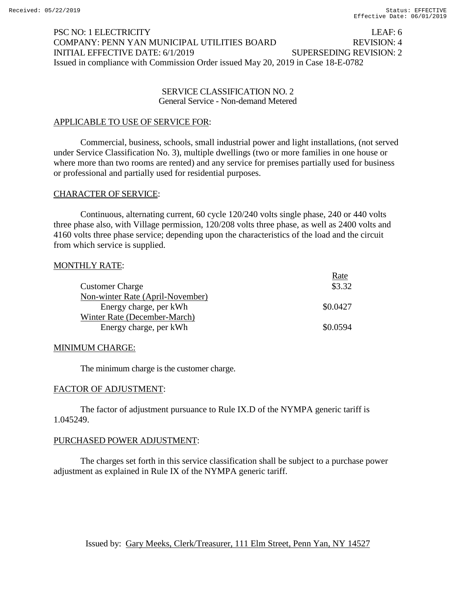# PSC NO: 1 ELECTRICITY<br>COMPANY: PENN YAN MUNICIPAL UTILITIES BOARD REVISION: 4 COMPANY: PENN YAN MUNICIPAL UTILITIES BOARD INITIAL EFFECTIVE DATE: 6/1/2019 SUPERSEDING REVISION: 2 Issued in compliance with Commission Order issued May 20, 2019 in Case 18-E-0782

#### SERVICE CLASSIFICATION NO. 2 General Service - Non-demand Metered

### APPLICABLE TO USE OF SERVICE FOR:

Commercial, business, schools, small industrial power and light installations, (not served under Service Classification No. 3), multiple dwellings (two or more families in one house or where more than two rooms are rented) and any service for premises partially used for business or professional and partially used for residential purposes.

### CHARACTER OF SERVICE:

Continuous, alternating current, 60 cycle 120/240 volts single phase, 240 or 440 volts three phase also, with Village permission, 120/208 volts three phase, as well as 2400 volts and 4160 volts three phase service; depending upon the characteristics of the load and the circuit from which service is supplied.

### MONTHLY RATE:

|                                  | Rate     |
|----------------------------------|----------|
| <b>Customer Charge</b>           | \$3.32   |
| Non-winter Rate (April-November) |          |
| Energy charge, per kWh           | \$0.0427 |
| Winter Rate (December-March)     |          |
| Energy charge, per kWh           | \$0.0594 |

### MINIMUM CHARGE:

The minimum charge is the customer charge.

#### FACTOR OF ADJUSTMENT:

The factor of adjustment pursuance to Rule IX.D of the NYMPA generic tariff is 1.045249.

#### PURCHASED POWER ADJUSTMENT:

The charges set forth in this service classification shall be subject to a purchase power adjustment as explained in Rule IX of the NYMPA generic tariff.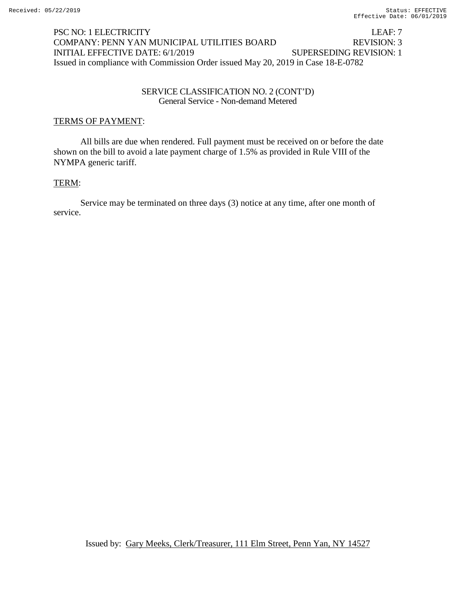# PSC NO: 1 ELECTRICITY LEAF: 7 COMPANY: PENN YAN MUNICIPAL UTILITIES BOARD REVISION: 3 INITIAL EFFECTIVE DATE: 6/1/2019 SUPERSEDING REVISION: 1 Issued in compliance with Commission Order issued May 20, 2019 in Case 18-E-0782

#### SERVICE CLASSIFICATION NO. 2 (CONT'D) General Service - Non-demand Metered

## TERMS OF PAYMENT:

All bills are due when rendered. Full payment must be received on or before the date shown on the bill to avoid a late payment charge of 1.5% as provided in Rule VIII of the NYMPA generic tariff.

### TERM:

Service may be terminated on three days (3) notice at any time, after one month of service.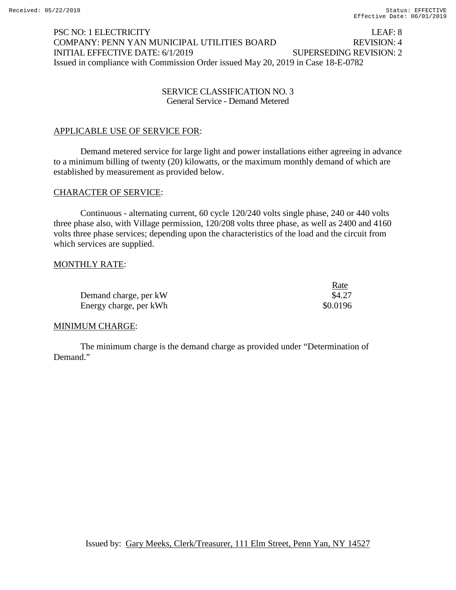# PSC NO: 1 ELECTRICITY LEAF: 8 COMPANY: PENN YAN MUNICIPAL UTILITIES BOARD REVISION: 4 INITIAL EFFECTIVE DATE: 6/1/2019 SUPERSEDING REVISION: 2 Issued in compliance with Commission Order issued May 20, 2019 in Case 18-E-0782

#### SERVICE CLASSIFICATION NO. 3 General Service - Demand Metered

# APPLICABLE USE OF SERVICE FOR:

Demand metered service for large light and power installations either agreeing in advance to a minimum billing of twenty (20) kilowatts, or the maximum monthly demand of which are established by measurement as provided below.

#### CHARACTER OF SERVICE:

Continuous - alternating current, 60 cycle 120/240 volts single phase, 240 or 440 volts three phase also, with Village permission, 120/208 volts three phase, as well as 2400 and 4160 volts three phase services; depending upon the characteristics of the load and the circuit from which services are supplied.

#### MONTHLY RATE:

|                        | <u>Rate</u> |
|------------------------|-------------|
| Demand charge, per kW  | \$4.27      |
| Energy charge, per kWh | \$0.0196    |

#### MINIMUM CHARGE:

The minimum charge is the demand charge as provided under "Determination of Demand."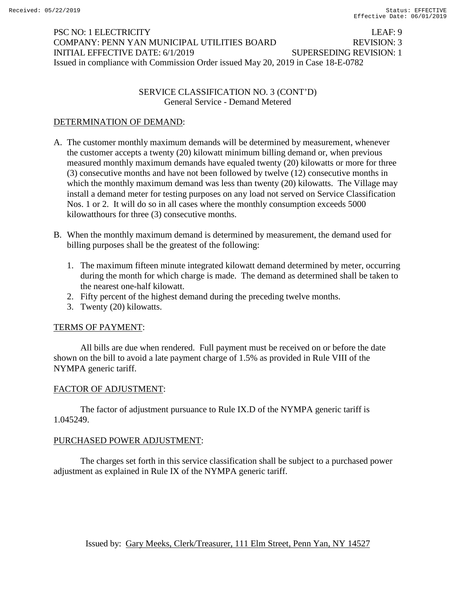# PSC NO: 1 ELECTRICITY LEAF: 9 COMPANY: PENN YAN MUNICIPAL UTILITIES BOARD REVISION: 3 INITIAL EFFECTIVE DATE: 6/1/2019 SUPERSEDING REVISION: 1 Issued in compliance with Commission Order issued May 20, 2019 in Case 18-E-0782

## SERVICE CLASSIFICATION NO. 3 (CONT'D) General Service - Demand Metered

# DETERMINATION OF DEMAND:

- A. The customer monthly maximum demands will be determined by measurement, whenever the customer accepts a twenty (20) kilowatt minimum billing demand or, when previous measured monthly maximum demands have equaled twenty (20) kilowatts or more for three (3) consecutive months and have not been followed by twelve (12) consecutive months in which the monthly maximum demand was less than twenty (20) kilowatts. The Village may install a demand meter for testing purposes on any load not served on Service Classification Nos. 1 or 2. It will do so in all cases where the monthly consumption exceeds 5000 kilowatthours for three (3) consecutive months.
- B. When the monthly maximum demand is determined by measurement, the demand used for billing purposes shall be the greatest of the following:
	- 1. The maximum fifteen minute integrated kilowatt demand determined by meter, occurring during the month for which charge is made. The demand as determined shall be taken to the nearest one-half kilowatt.
	- 2. Fifty percent of the highest demand during the preceding twelve months.
	- 3. Twenty (20) kilowatts.

### TERMS OF PAYMENT:

All bills are due when rendered. Full payment must be received on or before the date shown on the bill to avoid a late payment charge of 1.5% as provided in Rule VIII of the NYMPA generic tariff.

### FACTOR OF ADJUSTMENT:

The factor of adjustment pursuance to Rule IX.D of the NYMPA generic tariff is 1.045249.

### PURCHASED POWER ADJUSTMENT:

The charges set forth in this service classification shall be subject to a purchased power adjustment as explained in Rule IX of the NYMPA generic tariff.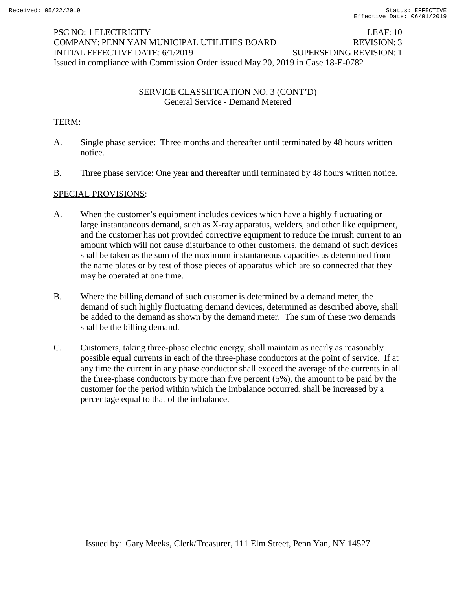# PSC NO: 1 ELECTRICITY LEAF: 10 COMPANY: PENN YAN MUNICIPAL UTILITIES BOARD REVISION: 3 INITIAL EFFECTIVE DATE: 6/1/2019 SUPERSEDING REVISION: 1 Issued in compliance with Commission Order issued May 20, 2019 in Case 18-E-0782

## SERVICE CLASSIFICATION NO. 3 (CONT'D) General Service - Demand Metered

# TERM:

- A. Single phase service: Three months and thereafter until terminated by 48 hours written notice.
- B. Three phase service: One year and thereafter until terminated by 48 hours written notice.

# SPECIAL PROVISIONS:

- A. When the customer's equipment includes devices which have a highly fluctuating or large instantaneous demand, such as X-ray apparatus, welders, and other like equipment, and the customer has not provided corrective equipment to reduce the inrush current to an amount which will not cause disturbance to other customers, the demand of such devices shall be taken as the sum of the maximum instantaneous capacities as determined from the name plates or by test of those pieces of apparatus which are so connected that they may be operated at one time.
- B. Where the billing demand of such customer is determined by a demand meter, the demand of such highly fluctuating demand devices, determined as described above, shall be added to the demand as shown by the demand meter. The sum of these two demands shall be the billing demand.
- C. Customers, taking three-phase electric energy, shall maintain as nearly as reasonably possible equal currents in each of the three-phase conductors at the point of service. If at any time the current in any phase conductor shall exceed the average of the currents in all the three-phase conductors by more than five percent (5%), the amount to be paid by the customer for the period within which the imbalance occurred, shall be increased by a percentage equal to that of the imbalance.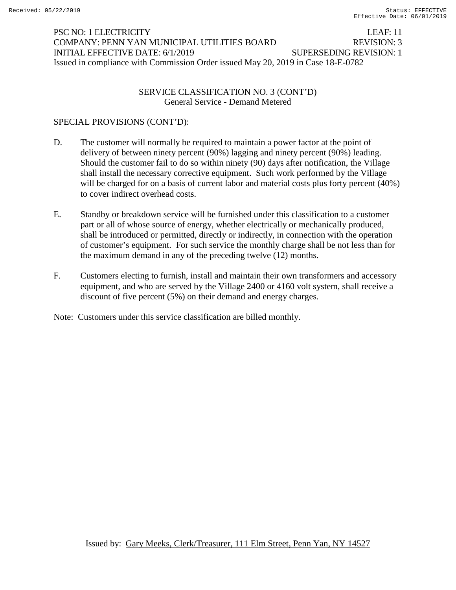# PSC NO: 1 ELECTRICITY LEAF: 11 COMPANY: PENN YAN MUNICIPAL UTILITIES BOARD REVISION: 3 INITIAL EFFECTIVE DATE: 6/1/2019 SUPERSEDING REVISION: 1 Issued in compliance with Commission Order issued May 20, 2019 in Case 18-E-0782

## SERVICE CLASSIFICATION NO. 3 (CONT'D) General Service - Demand Metered

# SPECIAL PROVISIONS (CONT'D):

- D. The customer will normally be required to maintain a power factor at the point of delivery of between ninety percent (90%) lagging and ninety percent (90%) leading. Should the customer fail to do so within ninety (90) days after notification, the Village shall install the necessary corrective equipment. Such work performed by the Village will be charged for on a basis of current labor and material costs plus forty percent (40%) to cover indirect overhead costs.
- E. Standby or breakdown service will be furnished under this classification to a customer part or all of whose source of energy, whether electrically or mechanically produced, shall be introduced or permitted, directly or indirectly, in connection with the operation of customer's equipment. For such service the monthly charge shall be not less than for the maximum demand in any of the preceding twelve (12) months.
- F. Customers electing to furnish, install and maintain their own transformers and accessory equipment, and who are served by the Village 2400 or 4160 volt system, shall receive a discount of five percent (5%) on their demand and energy charges.

Note: Customers under this service classification are billed monthly.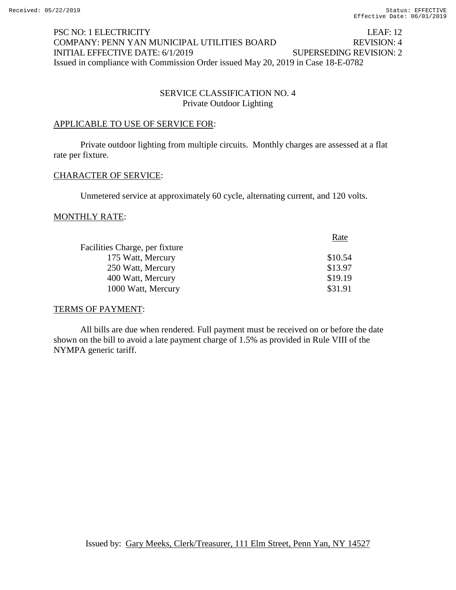# PSC NO: 1 ELECTRICITY LEAF: 12 COMPANY: PENN YAN MUNICIPAL UTILITIES BOARD REVISION: 4 INITIAL EFFECTIVE DATE: 6/1/2019 SUPERSEDING REVISION: 2 Issued in compliance with Commission Order issued May 20, 2019 in Case 18-E-0782

# SERVICE CLASSIFICATION NO. 4 Private Outdoor Lighting

### APPLICABLE TO USE OF SERVICE FOR:

Private outdoor lighting from multiple circuits. Monthly charges are assessed at a flat rate per fixture.

### CHARACTER OF SERVICE:

Unmetered service at approximately 60 cycle, alternating current, and 120 volts.

#### MONTHLY RATE:

|                                | Rate    |
|--------------------------------|---------|
| Facilities Charge, per fixture |         |
| 175 Watt, Mercury              | \$10.54 |
| 250 Watt, Mercury              | \$13.97 |
| 400 Watt, Mercury              | \$19.19 |
| 1000 Watt, Mercury             | \$31.91 |

### TERMS OF PAYMENT:

All bills are due when rendered. Full payment must be received on or before the date shown on the bill to avoid a late payment charge of 1.5% as provided in Rule VIII of the NYMPA generic tariff.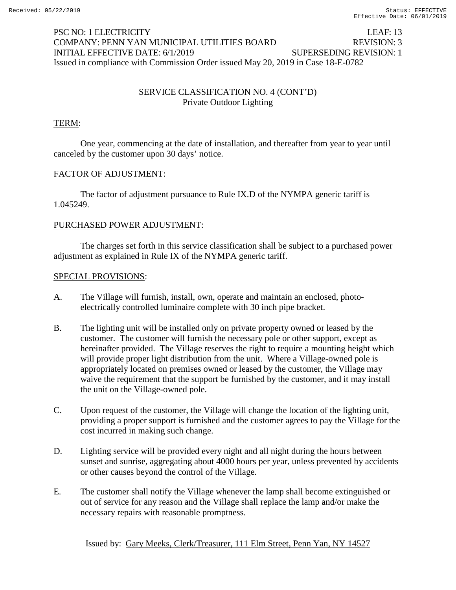# PSC NO: 1 ELECTRICITY LEAF: 13 COMPANY: PENN YAN MUNICIPAL UTILITIES BOARD REVISION: 3 INITIAL EFFECTIVE DATE: 6/1/2019 SUPERSEDING REVISION: 1 Issued in compliance with Commission Order issued May 20, 2019 in Case 18-E-0782

# SERVICE CLASSIFICATION NO. 4 (CONT'D) Private Outdoor Lighting

# TERM:

One year, commencing at the date of installation, and thereafter from year to year until canceled by the customer upon 30 days' notice.

# FACTOR OF ADJUSTMENT:

The factor of adjustment pursuance to Rule IX.D of the NYMPA generic tariff is 1.045249.

# PURCHASED POWER ADJUSTMENT:

The charges set forth in this service classification shall be subject to a purchased power adjustment as explained in Rule IX of the NYMPA generic tariff.

# SPECIAL PROVISIONS:

- A. The Village will furnish, install, own, operate and maintain an enclosed, photoelectrically controlled luminaire complete with 30 inch pipe bracket.
- B. The lighting unit will be installed only on private property owned or leased by the customer. The customer will furnish the necessary pole or other support, except as hereinafter provided. The Village reserves the right to require a mounting height which will provide proper light distribution from the unit. Where a Village-owned pole is appropriately located on premises owned or leased by the customer, the Village may waive the requirement that the support be furnished by the customer, and it may install the unit on the Village-owned pole.
- C. Upon request of the customer, the Village will change the location of the lighting unit, providing a proper support is furnished and the customer agrees to pay the Village for the cost incurred in making such change.
- D. Lighting service will be provided every night and all night during the hours between sunset and sunrise, aggregating about 4000 hours per year, unless prevented by accidents or other causes beyond the control of the Village.
- E. The customer shall notify the Village whenever the lamp shall become extinguished or out of service for any reason and the Village shall replace the lamp and/or make the necessary repairs with reasonable promptness.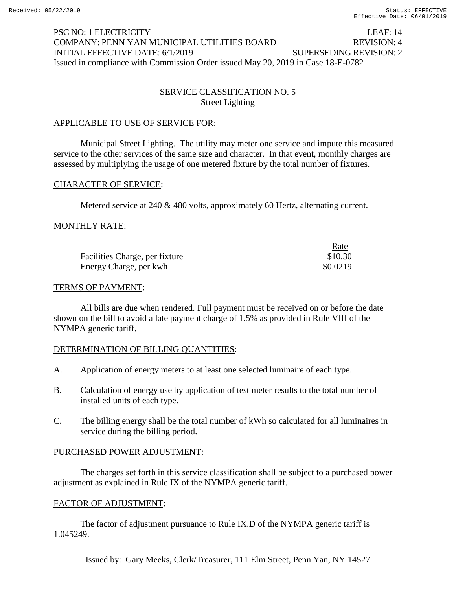# PSC NO: 1 ELECTRICITY LEAF: 14 COMPANY: PENN YAN MUNICIPAL UTILITIES BOARD REVISION: 4 INITIAL EFFECTIVE DATE: 6/1/2019 SUPERSEDING REVISION: 2 Issued in compliance with Commission Order issued May 20, 2019 in Case 18-E-0782

# SERVICE CLASSIFICATION NO. 5 Street Lighting

# APPLICABLE TO USE OF SERVICE FOR:

Municipal Street Lighting. The utility may meter one service and impute this measured service to the other services of the same size and character. In that event, monthly charges are assessed by multiplying the usage of one metered fixture by the total number of fixtures.

### CHARACTER OF SERVICE:

Metered service at 240 & 480 volts, approximately 60 Hertz, alternating current.

### MONTHLY RATE:

|                                | Rate     |
|--------------------------------|----------|
| Facilities Charge, per fixture | \$10.30  |
| Energy Charge, per kwh         | \$0.0219 |

#### TERMS OF PAYMENT:

All bills are due when rendered. Full payment must be received on or before the date shown on the bill to avoid a late payment charge of 1.5% as provided in Rule VIII of the NYMPA generic tariff.

### DETERMINATION OF BILLING QUANTITIES:

- A. Application of energy meters to at least one selected luminaire of each type.
- B. Calculation of energy use by application of test meter results to the total number of installed units of each type.
- C. The billing energy shall be the total number of kWh so calculated for all luminaires in service during the billing period.

### PURCHASED POWER ADJUSTMENT:

The charges set forth in this service classification shall be subject to a purchased power adjustment as explained in Rule IX of the NYMPA generic tariff.

### FACTOR OF ADJUSTMENT:

The factor of adjustment pursuance to Rule IX.D of the NYMPA generic tariff is 1.045249.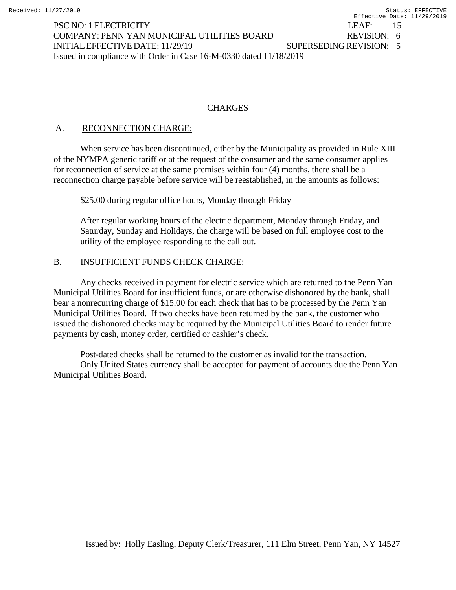PSC NO: 1 ELECTRICITY LEAF: 15 COMPANY: PENN YAN MUNICIPAL UTILITIES BOARD REVISION: 6 INITIALEFFECTIVE DATE: 11/29/19 SUPERSEDING REVISION: 5 Issued in compliance with Order in Case 16-M-0330 dated 11/18/2019

# **CHARGES**

# A. RECONNECTION CHARGE:

When service has been discontinued, either by the Municipality as provided in Rule XIII of the NYMPA generic tariff or at the request of the consumer and the same consumer applies for reconnection of service at the same premises within four (4) months, there shall be a reconnection charge payable before service will be reestablished, in the amounts as follows:

\$25.00 during regular office hours, Monday through Friday

After regular working hours of the electric department, Monday through Friday, and Saturday, Sunday and Holidays, the charge will be based on full employee cost to the utility of the employee responding to the call out.

# B. INSUFFICIENT FUNDS CHECK CHARGE:

Any checks received in payment for electric service which are returned to the Penn Yan Municipal Utilities Board for insufficient funds, or are otherwise dishonored by the bank, shall bear a nonrecurring charge of \$15.00 for each check that has to be processed by the Penn Yan Municipal Utilities Board. If two checks have been returned by the bank, the customer who issued the dishonored checks may be required by the Municipal Utilities Board to render future payments by cash, money order, certified or cashier's check.

Post-dated checks shall be returned to the customer as invalid for the transaction. Only United States currency shall be accepted for payment of accounts due the Penn Yan Municipal Utilities Board.